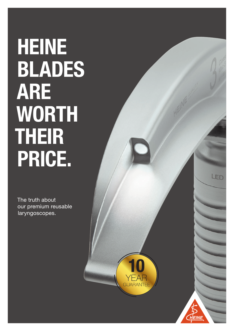# **HEINE** BLADES ARE WORTH THEIR PRICE.

The truth about our premium reusable laryngoscopes.

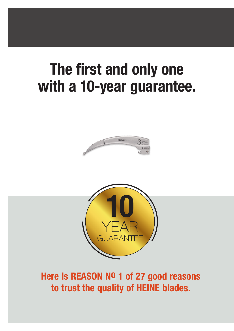## The first and only one with a 10-year guarantee.





Here is REASON No 1 of 27 good reasons to trust the quality of HEINE blades.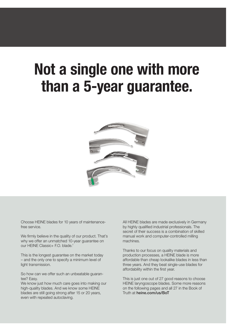# Not a single one with more than a 5-year guarantee.



Choose HEINE blades for 10 years of maintenancefree service.

We firmly believe in the quality of our product. That's why we offer an unmatched 10-year guarantee on our HEINE Classic+ F.O. blade.<sup>2</sup>

This is the longest guarantee on the market today – and the only one to specify a minimum level of light transmission.

So how can we offer such an unbeatable guarantee? Easy.

We know just how much care goes into making our high-quality blades. And we know some HEINE blades are still going strong after 15 or 20 years, even with repeated autoclaving.

All HEINE blades are made exclusively in Germany by highly qualified industrial professionals. The secret of their success is a combination of skilled manual work and computer-controlled milling machines.

Thanks to our focus on quality materials and production processes, a HEINE blade is more affordable than cheap lookalike blades in less than three years. And they beat single-use blades for affordability within the first year.

This is just one out of 27 good reasons to choose HEINE laryngoscope blades. Some more reasons on the following pages and all 27 in the Book of Truth at heine.com/us/BoT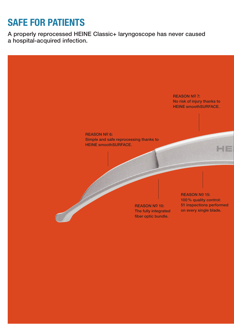## SAFE FOR PATIENTS

A properly reprocessed HEINE Classic+ laryngoscope has never caused a hospital-acquired infection.

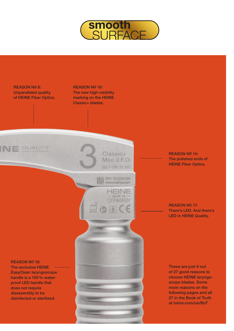

Classic+ Mac 3 F.O. REF F-000.22.103

**WEAT SN1102294388** 

HEINE MADE IN-**GERMANY** 

REASON Nº 8: Unparalleled quality of HEINE Fiber Optics. REASON Nº 19: The new high-visibility marking on the HEINE Classic+ blades.

> M  $\frac{1}{2020}$



REASON Nº 14: The polished ends of HEINE Fiber Optics.

REASON Nº 17: There's LED. And there's LED in HEINE Quality.

These are just 9 out of 27 good reasons to choose HEINE laryngoscope blades. Some more reasons on the following pages and all 27 in the Book of Truth at heine.com/us/BoT

#### REASON Nº 18:

The exclusive HEINE EasyClean laryngoscope handle is a 100%-waterproof LED handle that does not require disassembly to be disinfected or sterilized.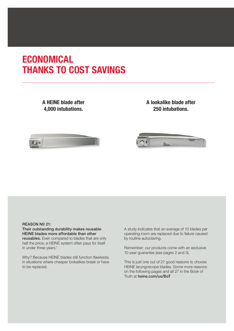## ECONOMICAL THANKS TO COST SAVINGS

#### A HEINE blade after 4,000 intubations.

#### A lookalike blade after 250 intubations.





#### REASON Nº 21:

Their outstanding durability makes reusable HEINE blades more affordable than other reusables. Even compared to blades that are only half the price, a HEINE system often pays for itself in under three years.<sup>3</sup>

Why? Because HEINE blades still function flawlessly in situations where cheaper lookalikes break or have to be replaced.

A study indicates that an average of 10 blades per operating room are replaced due to failure caused by routine autoclaving.

Remember: our products come with an exclusive 10-year guarantee (see pages 2 and 3).

This is just one out of 27 good reasons to choose HEINE laryngoscope blades. Some more reasons on the following pages and all 27 in the Book of Truth at heine.com/us/BoT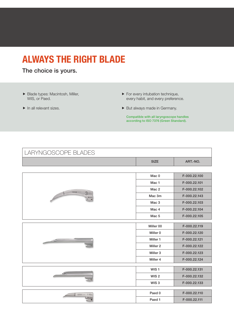## ALWAYS THE RIGHT BLADE

The choice is yours.

- Blade types: Macintosh, Miller, WIS, or Paed.
- $\blacktriangleright$  In all relevant sizes.
- $\blacktriangleright$  For every intubation technique, every habit, and every preference.
- But always made in Germany.

Compatible with all laryngoscope handles according to ISO 7376 (Green Standard).

| LARYNGOSCOPE BLADES      |                     |              |  |
|--------------------------|---------------------|--------------|--|
|                          | <b>SIZE</b>         | ART.-NO.     |  |
|                          |                     |              |  |
| HEINE<br>$3 =$           | Mac <sub>0</sub>    | F-000.22.100 |  |
|                          | Mac <sub>1</sub>    | F-000.22.101 |  |
|                          | Mac 2               | F-000.22.102 |  |
|                          | Mac 3m              | F-000.22.143 |  |
|                          | Mac 3               | F-000.22.103 |  |
|                          | Mac <sub>4</sub>    | F-000.22.104 |  |
|                          | Mac <sub>5</sub>    | F-000.22.105 |  |
|                          |                     |              |  |
| $\overline{\phantom{0}}$ | Miller 00           | F-000.22.119 |  |
|                          | Miller 0            | F-000.22.120 |  |
|                          | Miller 1            | F-000.22.121 |  |
|                          | Miller <sub>2</sub> | F-000.22.122 |  |
|                          | Miller 3            | F-000.22.123 |  |
|                          | Miller 4            | F-000.22.124 |  |
|                          |                     |              |  |
|                          | WIS <sub>1</sub>    | F-000.22.131 |  |
|                          | WIS <sub>2</sub>    | F-000.22.132 |  |
|                          | WIS <sub>3</sub>    | F-000.22.133 |  |
|                          |                     |              |  |
|                          | Paed 0              | F-000.22.110 |  |
|                          | Paed <sub>1</sub>   | F-000.22.111 |  |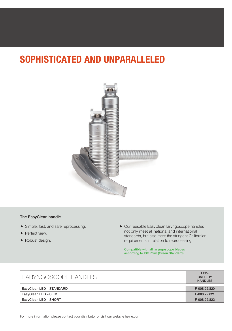## SOPHISTICATED AND UNPARALLELED



#### The EasyClean handle

- Simple, fast, and safe reprocessing.
- Perfect view.
- Robust design.

 Our reusable EasyClean laryngoscope handles not only meet all national and international standards, but also meet the stringent Californian requirements in relation to reprocessing.

Compatible with all laryngoscope blades according to ISO 7376 (Green Standard).

| LARYNGOSCOPE HANDLES     | LED-<br><b>BATTERY</b><br><b>HANDLES</b> |
|--------------------------|------------------------------------------|
| EasyClean LED - STANDARD | F-008.22.820                             |
| EasyClean LED - SLIM     | F-008.22.821                             |
| EasyClean LED - SHORT    | F-008.22.822                             |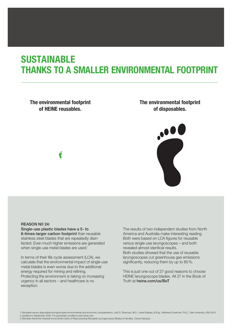## **SUSTAINABLE** THANKS TO A SMALLER ENVIRONMENTAL FOOTPRINT

The environmental footprint of HEINE reusables.

Ë

#### The environmental footprint of disposables.



#### RFASON NO 24:

Single-use plastic blades have a 5- to 6-times-larger carbon footprint than reusable stainless steel blades that are repeatedly disinfected. Even much higher emissions are generated when single-use metal blades are used.<sup>1</sup>

In terms of their life cycle assessment (LCA), we calculate that the environmental impact of single-use metal blades is even worse due to the additional energy required for mining and refining. Protecting the environment is taking on increasing urgency in all sectors – and healthcare is no exception.

The results of two independent studies from North America and Australia make interesting reading. Both were based on LCA figures for reusable versus single-use laryngoscopes – and both revealed almost identical results. Both studies showed that the use of reusable laryngoscopes cut greenhouse gas emissions significantly, reducing them by up to 85%.

This is just one out of 27 good reasons to choose HEINE laryngoscope blades. All 27 in the Book of Truth at heine.com/us/BoT

1 Reusable versus disposable laryngoscopes environmental and economic considerations. Jodi D. Sherman, M.D., Lewis Raibley, B.Eng., Matthew Eckelman, Ph.D., Yale University, ASA 2014<br>2 Updated in September 2020. For guaran

3 Glendale Adventist Hospital Incremental Costs of Reprocessing Reusable Laryngoscopes Blades & Handles. Carlos Vasquez